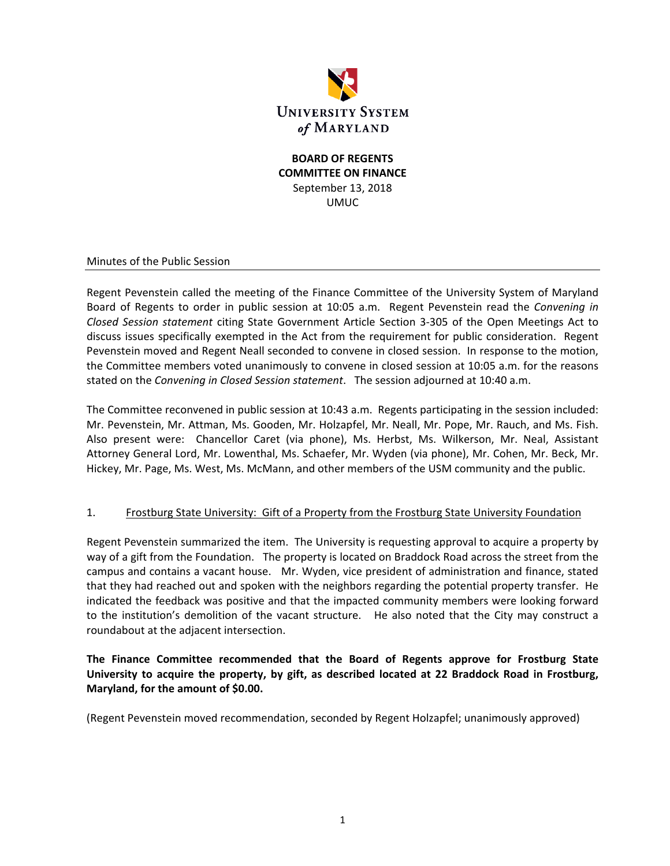

## **BOARD OF REGENTS COMMITTEE ON FINANCE** September 13, 2018 UMUC

Minutes of the Public Session

Regent Pevenstein called the meeting of the Finance Committee of the University System of Maryland Board of Regents to order in public session at 10:05 a.m. Regent Pevenstein read the *Convening in Closed Session statement* citing State Government Article Section 3‐305 of the Open Meetings Act to discuss issues specifically exempted in the Act from the requirement for public consideration. Regent Pevenstein moved and Regent Neall seconded to convene in closed session. In response to the motion, the Committee members voted unanimously to convene in closed session at 10:05 a.m. for the reasons stated on the *Convening in Closed Session statement*. The session adjourned at 10:40 a.m.

The Committee reconvened in public session at 10:43 a.m. Regents participating in the session included: Mr. Pevenstein, Mr. Attman, Ms. Gooden, Mr. Holzapfel, Mr. Neall, Mr. Pope, Mr. Rauch, and Ms. Fish. Also present were: Chancellor Caret (via phone), Ms. Herbst, Ms. Wilkerson, Mr. Neal, Assistant Attorney General Lord, Mr. Lowenthal, Ms. Schaefer, Mr. Wyden (via phone), Mr. Cohen, Mr. Beck, Mr. Hickey, Mr. Page, Ms. West, Ms. McMann, and other members of the USM community and the public.

### 1. Frostburg State University: Gift of a Property from the Frostburg State University Foundation

Regent Pevenstein summarized the item. The University is requesting approval to acquire a property by way of a gift from the Foundation. The property is located on Braddock Road across the street from the campus and contains a vacant house. Mr. Wyden, vice president of administration and finance, stated that they had reached out and spoken with the neighbors regarding the potential property transfer. He indicated the feedback was positive and that the impacted community members were looking forward to the institution's demolition of the vacant structure. He also noted that the City may construct a roundabout at the adjacent intersection.

**The Finance Committee recommended that the Board of Regents approve for Frostburg State University to acquire the property, by gift, as described located at 22 Braddock Road in Frostburg, Maryland, for the amount of \$0.00.** 

(Regent Pevenstein moved recommendation, seconded by Regent Holzapfel; unanimously approved)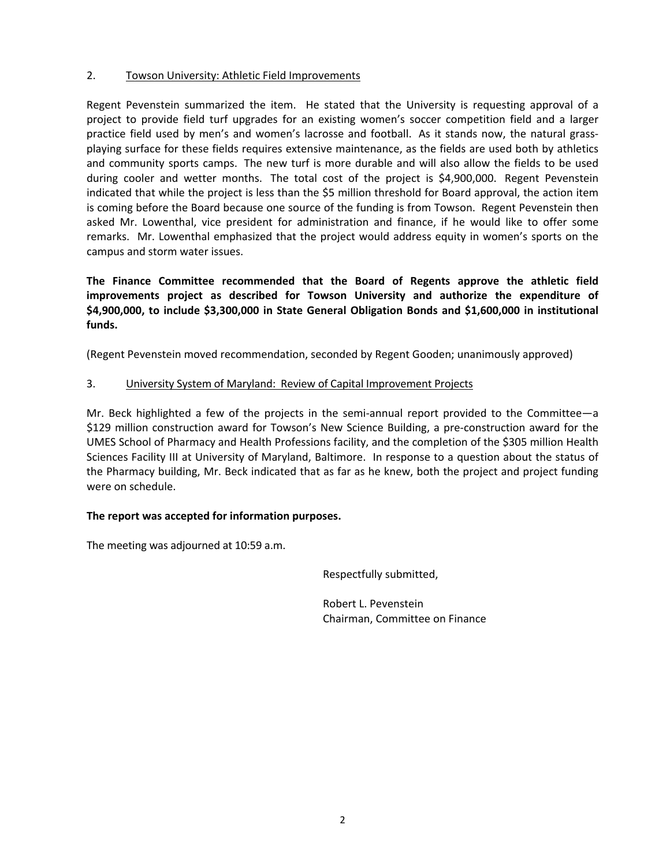### 2. Towson University: Athletic Field Improvements

Regent Pevenstein summarized the item. He stated that the University is requesting approval of a project to provide field turf upgrades for an existing women's soccer competition field and a larger practice field used by men's and women's lacrosse and football. As it stands now, the natural grassplaying surface for these fields requires extensive maintenance, as the fields are used both by athletics and community sports camps. The new turf is more durable and will also allow the fields to be used during cooler and wetter months. The total cost of the project is \$4,900,000. Regent Pevenstein indicated that while the project is less than the \$5 million threshold for Board approval, the action item is coming before the Board because one source of the funding is from Towson. Regent Pevenstein then asked Mr. Lowenthal, vice president for administration and finance, if he would like to offer some remarks. Mr. Lowenthal emphasized that the project would address equity in women's sports on the campus and storm water issues.

**The Finance Committee recommended that the Board of Regents approve the athletic field improvements project as described for Towson University and authorize the expenditure of \$4,900,000, to include \$3,300,000 in State General Obligation Bonds and \$1,600,000 in institutional funds.** 

(Regent Pevenstein moved recommendation, seconded by Regent Gooden; unanimously approved)

### 3. University System of Maryland: Review of Capital Improvement Projects

Mr. Beck highlighted a few of the projects in the semi-annual report provided to the Committee—a \$129 million construction award for Towson's New Science Building, a pre-construction award for the UMES School of Pharmacy and Health Professions facility, and the completion of the \$305 million Health Sciences Facility III at University of Maryland, Baltimore. In response to a question about the status of the Pharmacy building, Mr. Beck indicated that as far as he knew, both the project and project funding were on schedule.

### **The report was accepted for information purposes.**

The meeting was adjourned at 10:59 a.m.

Respectfully submitted,

 Robert L. Pevenstein Chairman, Committee on Finance